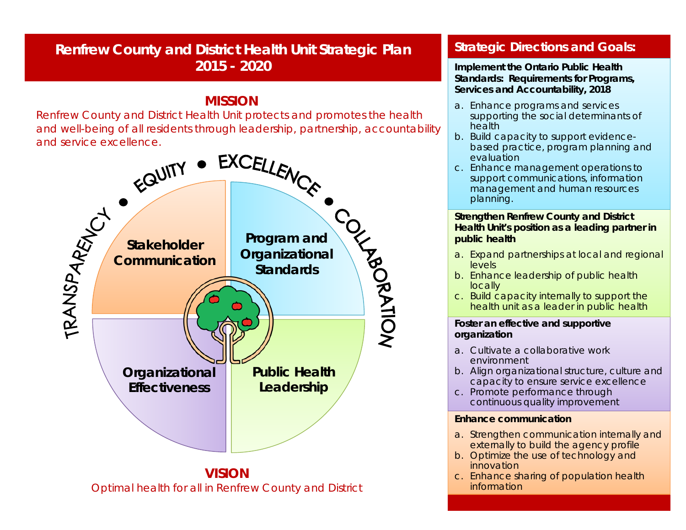## **Renfrew County and District Health Unit Strategic Plan 2015 - 2020**

## **MISSION**

*Renfrew County and District Health Unit protects and promotes the health and well-being of all residents through leadership, partnership, accountability* 



#### **Strategic Directions and Goals:**

**Implement the Ontario Public Health Standards: Requirements for Programs, Services and Accountability, 2018**

- a. Enhance programs and services supporting the social determinants of health
- b. Build capacity to support evidencebased practice, program planning and evaluation
- c. Enhance management operations to support communications, information management and human resources planning.

#### **Strengthen Renfrew County and District Health Unit's position as a leading partner in public health**

- a. Expand partnerships at local and regional levels
- b. Enhance leadership of public health locally
- c. Build capacity internally to support the health unit as a leader in public health

#### **Foster an effective and supportive organization**

- a. Cultivate a collaborative work environment
- b. Align organizational structure, culture and capacity to ensure service excellence
- c. Promote performance through continuous quality improvement

#### **Enhance communication**

- a. Strengthen communication internally and externally to build the agency profile
- b. Optimize the use of technology and innovation
- c. Enhance sharing of population health information